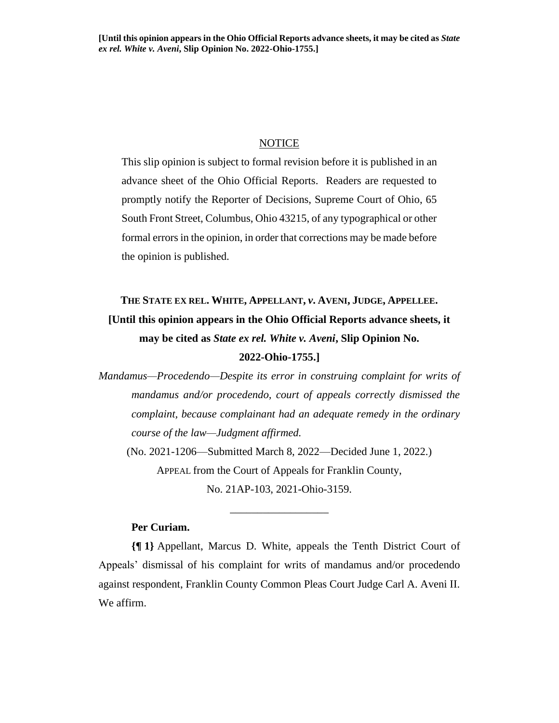## **NOTICE**

This slip opinion is subject to formal revision before it is published in an advance sheet of the Ohio Official Reports. Readers are requested to promptly notify the Reporter of Decisions, Supreme Court of Ohio, 65 South Front Street, Columbus, Ohio 43215, of any typographical or other formal errors in the opinion, in order that corrections may be made before the opinion is published.

# **THE STATE EX REL. WHITE, APPELLANT,** *v***. AVENI, JUDGE, APPELLEE. [Until this opinion appears in the Ohio Official Reports advance sheets, it may be cited as** *State ex rel. White v. Aveni***, Slip Opinion No. 2022-Ohio-1755.]**

*Mandamus—Procedendo—Despite its error in construing complaint for writs of mandamus and/or procedendo, court of appeals correctly dismissed the complaint, because complainant had an adequate remedy in the ordinary course of the law—Judgment affirmed.*

(No. 2021-1206—Submitted March 8, 2022—Decided June 1, 2022.) APPEAL from the Court of Appeals for Franklin County, No. 21AP-103, 2021-Ohio-3159.

\_\_\_\_\_\_\_\_\_\_\_\_\_\_\_\_\_\_

# **Per Curiam.**

**{¶ 1}** Appellant, Marcus D. White, appeals the Tenth District Court of Appeals' dismissal of his complaint for writs of mandamus and/or procedendo against respondent, Franklin County Common Pleas Court Judge Carl A. Aveni II. We affirm.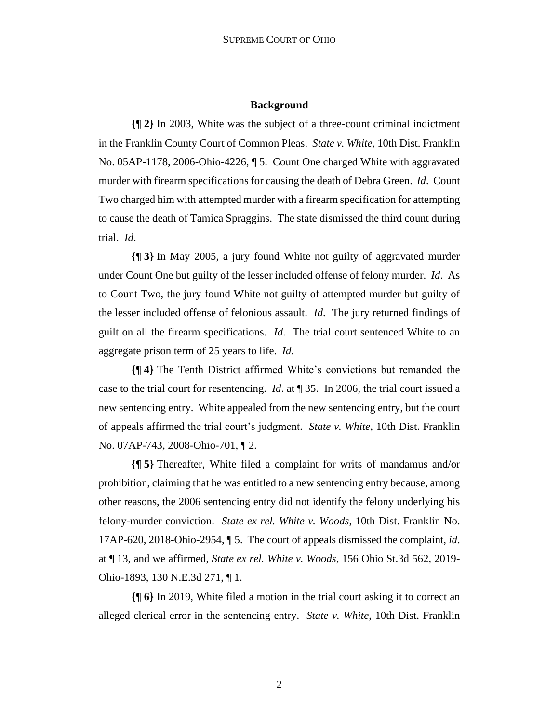# **Background**

**{¶ 2}** In 2003, White was the subject of a three-count criminal indictment in the Franklin County Court of Common Pleas. *State v. White*, 10th Dist. Franklin No. 05AP-1178, 2006-Ohio-4226, ¶ 5. Count One charged White with aggravated murder with firearm specifications for causing the death of Debra Green. *Id*. Count Two charged him with attempted murder with a firearm specification for attempting to cause the death of Tamica Spraggins. The state dismissed the third count during trial. *Id*.

**{¶ 3}** In May 2005, a jury found White not guilty of aggravated murder under Count One but guilty of the lesser included offense of felony murder. *Id*. As to Count Two, the jury found White not guilty of attempted murder but guilty of the lesser included offense of felonious assault. *Id*. The jury returned findings of guilt on all the firearm specifications. *Id*. The trial court sentenced White to an aggregate prison term of 25 years to life. *Id*.

**{¶ 4}** The Tenth District affirmed White's convictions but remanded the case to the trial court for resentencing. *Id*. at ¶ 35. In 2006, the trial court issued a new sentencing entry. White appealed from the new sentencing entry, but the court of appeals affirmed the trial court's judgment. *State v. White*, 10th Dist. Franklin No. 07AP-743, 2008-Ohio-701, ¶ 2.

**{¶ 5}** Thereafter, White filed a complaint for writs of mandamus and/or prohibition, claiming that he was entitled to a new sentencing entry because, among other reasons, the 2006 sentencing entry did not identify the felony underlying his felony-murder conviction. *State ex rel. White v. Woods*, 10th Dist. Franklin No. 17AP-620, 2018-Ohio-2954, ¶ 5. The court of appeals dismissed the complaint, *id*. at ¶ 13, and we affirmed, *State ex rel. White v. Woods*, 156 Ohio St.3d 562, 2019- Ohio-1893, 130 N.E.3d 271, ¶ 1.

**{¶ 6}** In 2019, White filed a motion in the trial court asking it to correct an alleged clerical error in the sentencing entry. *State v. White*, 10th Dist. Franklin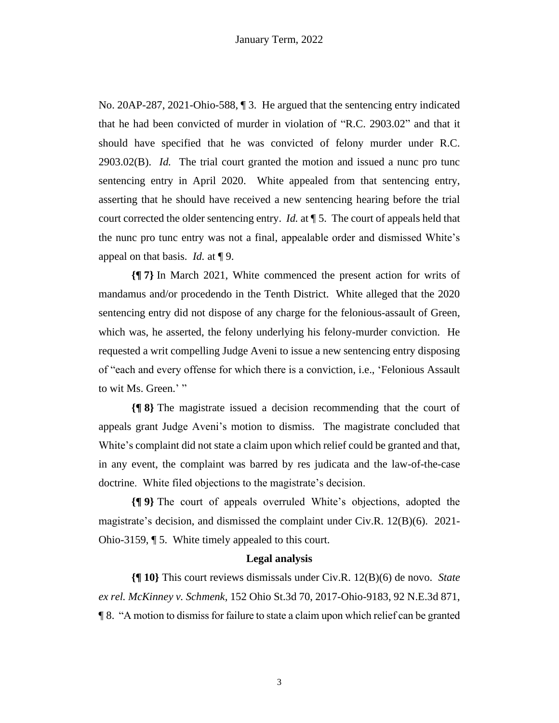No. 20AP-287, 2021-Ohio-588, ¶ 3. He argued that the sentencing entry indicated that he had been convicted of murder in violation of "R.C. 2903.02" and that it should have specified that he was convicted of felony murder under R.C. 2903.02(B). *Id.* The trial court granted the motion and issued a nunc pro tunc sentencing entry in April 2020. White appealed from that sentencing entry, asserting that he should have received a new sentencing hearing before the trial court corrected the older sentencing entry. *Id.* at ¶ 5. The court of appeals held that the nunc pro tunc entry was not a final, appealable order and dismissed White's appeal on that basis. *Id.* at ¶ 9.

**{¶ 7}** In March 2021, White commenced the present action for writs of mandamus and/or procedendo in the Tenth District. White alleged that the 2020 sentencing entry did not dispose of any charge for the felonious-assault of Green, which was, he asserted, the felony underlying his felony-murder conviction. He requested a writ compelling Judge Aveni to issue a new sentencing entry disposing of "each and every offense for which there is a conviction, i.e., 'Felonious Assault to wit Ms. Green.'"

**{¶ 8}** The magistrate issued a decision recommending that the court of appeals grant Judge Aveni's motion to dismiss. The magistrate concluded that White's complaint did not state a claim upon which relief could be granted and that, in any event, the complaint was barred by res judicata and the law-of-the-case doctrine. White filed objections to the magistrate's decision.

**{¶ 9}** The court of appeals overruled White's objections, adopted the magistrate's decision, and dismissed the complaint under Civ.R. 12(B)(6). 2021- Ohio-3159, ¶ 5. White timely appealed to this court.

## **Legal analysis**

**{¶ 10}** This court reviews dismissals under Civ.R. 12(B)(6) de novo. *State ex rel. McKinney v. Schmenk*, 152 Ohio St.3d 70, 2017-Ohio-9183, 92 N.E.3d 871, ¶ 8. "A motion to dismiss for failure to state a claim upon which relief can be granted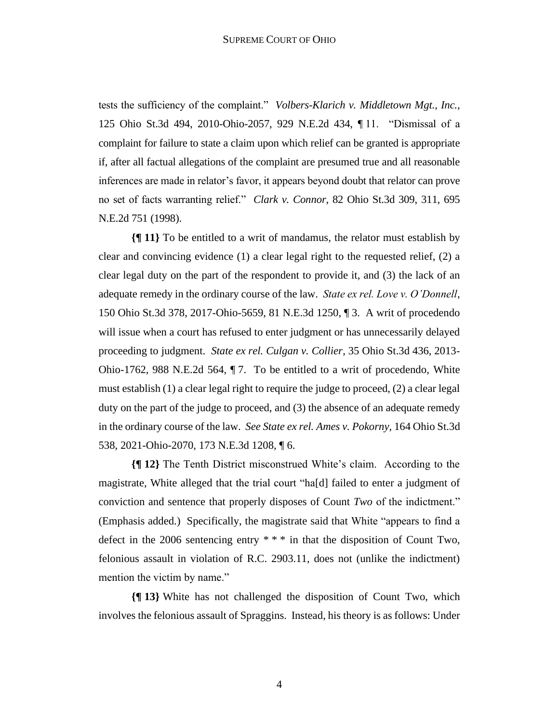tests the sufficiency of the complaint." *Volbers-Klarich v. Middletown Mgt., Inc.*, 125 Ohio St.3d 494, 2010-Ohio-2057, 929 N.E.2d 434, ¶ 11. "Dismissal of a complaint for failure to state a claim upon which relief can be granted is appropriate if, after all factual allegations of the complaint are presumed true and all reasonable inferences are made in relator's favor, it appears beyond doubt that relator can prove no set of facts warranting relief." *Clark v. Connor*, 82 Ohio St.3d 309, 311, 695 N.E.2d 751 (1998).

**{¶ 11}** To be entitled to a writ of mandamus, the relator must establish by clear and convincing evidence (1) a clear legal right to the requested relief, (2) a clear legal duty on the part of the respondent to provide it, and (3) the lack of an adequate remedy in the ordinary course of the law. *State ex rel. Love v. O'Donnell*, 150 Ohio St.3d 378, 2017-Ohio-5659, 81 N.E.3d 1250, ¶ 3. A writ of procedendo will issue when a court has refused to enter judgment or has unnecessarily delayed proceeding to judgment. *State ex rel. Culgan v. Collier*, 35 Ohio St.3d 436, 2013- Ohio-1762, 988 N.E.2d 564, ¶ 7. To be entitled to a writ of procedendo, White must establish (1) a clear legal right to require the judge to proceed, (2) a clear legal duty on the part of the judge to proceed, and (3) the absence of an adequate remedy in the ordinary course of the law. *See State ex rel. Ames v. Pokorny*, 164 Ohio St.3d 538, 2021-Ohio-2070, 173 N.E.3d 1208, ¶ 6.

**{¶ 12}** The Tenth District misconstrued White's claim. According to the magistrate, White alleged that the trial court "ha[d] failed to enter a judgment of conviction and sentence that properly disposes of Count *Two* of the indictment." (Emphasis added.) Specifically, the magistrate said that White "appears to find a defect in the 2006 sentencing entry \* \* \* in that the disposition of Count Two, felonious assault in violation of R.C. 2903.11, does not (unlike the indictment) mention the victim by name."

**{¶ 13}** White has not challenged the disposition of Count Two, which involves the felonious assault of Spraggins. Instead, his theory is as follows: Under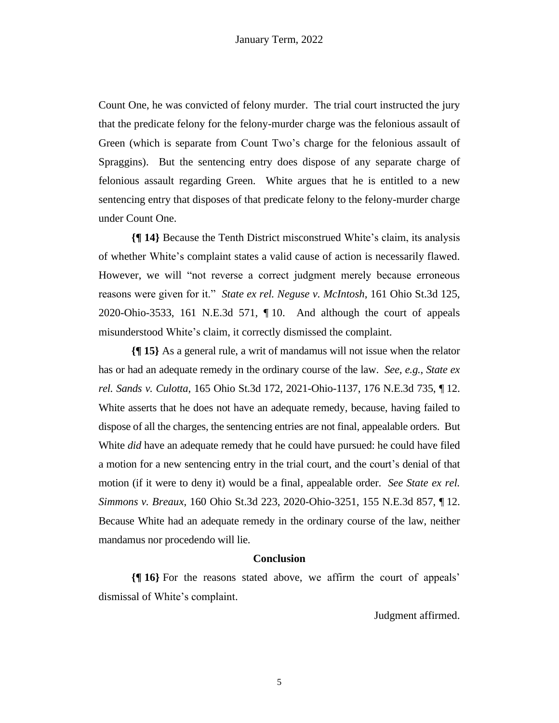Count One, he was convicted of felony murder. The trial court instructed the jury that the predicate felony for the felony-murder charge was the felonious assault of Green (which is separate from Count Two's charge for the felonious assault of Spraggins). But the sentencing entry does dispose of any separate charge of felonious assault regarding Green. White argues that he is entitled to a new sentencing entry that disposes of that predicate felony to the felony-murder charge under Count One.

**{¶ 14}** Because the Tenth District misconstrued White's claim, its analysis of whether White's complaint states a valid cause of action is necessarily flawed. However, we will "not reverse a correct judgment merely because erroneous reasons were given for it." *State ex rel. Neguse v. McIntosh*, 161 Ohio St.3d 125, 2020-Ohio-3533, 161 N.E.3d 571, ¶ 10. And although the court of appeals misunderstood White's claim, it correctly dismissed the complaint.

**{¶ 15}** As a general rule, a writ of mandamus will not issue when the relator has or had an adequate remedy in the ordinary course of the law. *See, e.g.*, *State ex rel. Sands v. Culotta*, 165 Ohio St.3d 172, 2021-Ohio-1137, 176 N.E.3d 735, ¶ 12. White asserts that he does not have an adequate remedy, because, having failed to dispose of all the charges, the sentencing entries are not final, appealable orders. But White *did* have an adequate remedy that he could have pursued: he could have filed a motion for a new sentencing entry in the trial court, and the court's denial of that motion (if it were to deny it) would be a final, appealable order. *See State ex rel. Simmons v. Breaux*, 160 Ohio St.3d 223, 2020-Ohio-3251, 155 N.E.3d 857, ¶ 12. Because White had an adequate remedy in the ordinary course of the law, neither mandamus nor procedendo will lie.

## **Conclusion**

**{¶ 16}** For the reasons stated above, we affirm the court of appeals' dismissal of White's complaint.

Judgment affirmed.